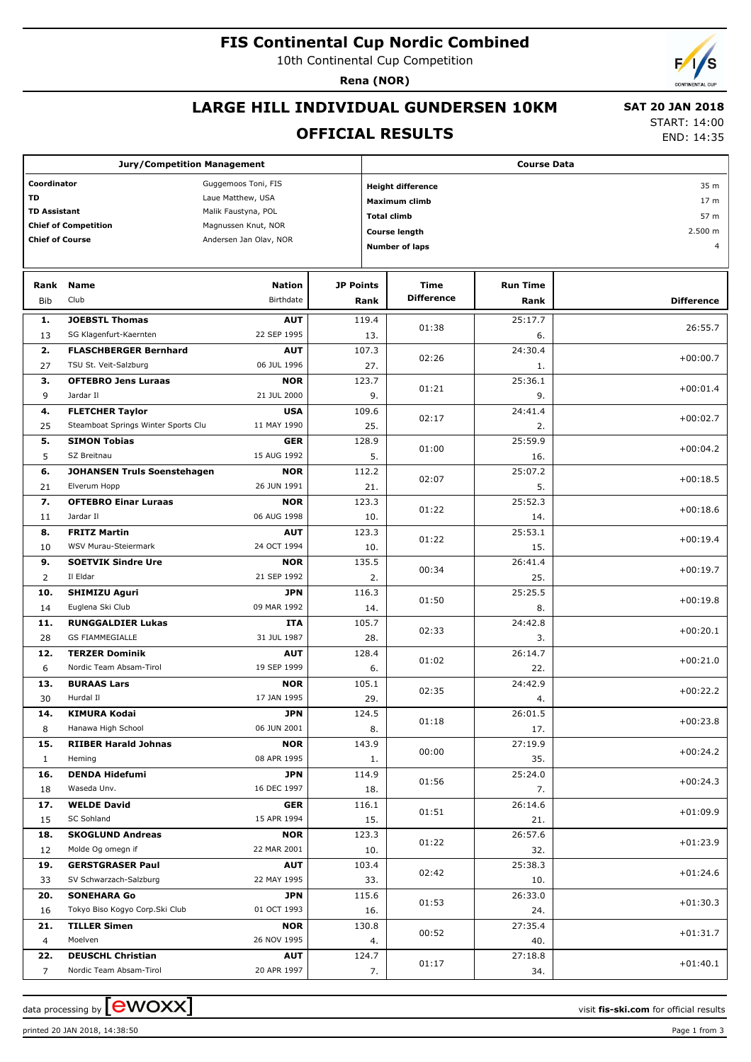# **FIS Continental Cup Nordic Combined**

10th Continental Cup Competition

**Rena (NOR)**

# **LARGE HILL INDIVIDUAL GUNDERSEN 10KM**

#### **OFFICIAL RESULTS**

 **SAT 20 JAN 2018** START: 14:00

END: 14:35

| <b>Jury/Competition Management</b>               |                                                       |                            |                  | <b>Course Data</b>               |                           |                         |                   |  |  |
|--------------------------------------------------|-------------------------------------------------------|----------------------------|------------------|----------------------------------|---------------------------|-------------------------|-------------------|--|--|
| Coordinator<br>Guggemoos Toni, FIS               |                                                       |                            |                  | 35 m<br><b>Height difference</b> |                           |                         |                   |  |  |
| <b>TD</b><br>Laue Matthew, USA                   |                                                       |                            |                  |                                  | <b>Maximum climb</b>      | 17 <sub>m</sub>         |                   |  |  |
| <b>TD Assistant</b><br>Malik Faustyna, POL       |                                                       |                            |                  |                                  | <b>Total climb</b>        | 57 m                    |                   |  |  |
|                                                  | <b>Chief of Competition</b>                           | Magnussen Knut, NOR        |                  |                                  | <b>Course length</b>      | 2.500 m                 |                   |  |  |
| <b>Chief of Course</b><br>Andersen Jan Olav, NOR |                                                       |                            |                  |                                  | <b>Number of laps</b>     |                         | $\overline{4}$    |  |  |
|                                                  |                                                       |                            |                  |                                  |                           |                         |                   |  |  |
|                                                  |                                                       |                            |                  |                                  |                           |                         |                   |  |  |
| Rank<br>Bib                                      | <b>Name</b><br>Club                                   | <b>Nation</b><br>Birthdate | <b>JP Points</b> | Rank                             | Time<br><b>Difference</b> | <b>Run Time</b><br>Rank | <b>Difference</b> |  |  |
|                                                  |                                                       |                            |                  |                                  |                           |                         |                   |  |  |
| 1.                                               | <b>JOEBSTL Thomas</b><br>SG Klagenfurt-Kaernten       | <b>AUT</b><br>22 SEP 1995  |                  | 119.4                            | 01:38                     | 25:17.7                 | 26:55.7           |  |  |
| 13                                               |                                                       |                            |                  | 13.                              |                           | 6.                      |                   |  |  |
| 2.<br>27                                         | <b>FLASCHBERGER Bernhard</b><br>TSU St. Veit-Salzburg | <b>AUT</b><br>06 JUL 1996  |                  | 107.3<br>27.                     | 02:26                     | 24:30.4                 | $+00:00.7$        |  |  |
| з.                                               | <b>OFTEBRO Jens Luraas</b>                            | <b>NOR</b>                 |                  | 123.7                            |                           | 1.<br>25:36.1           |                   |  |  |
| 9                                                | Jardar II                                             | 21 JUL 2000                |                  | 9.                               | 01:21                     | 9.                      | $+00:01.4$        |  |  |
| 4.                                               | <b>FLETCHER Taylor</b>                                | <b>USA</b>                 |                  | 109.6                            |                           | 24:41.4                 |                   |  |  |
| 25                                               | Steamboat Springs Winter Sports Clu                   | 11 MAY 1990                |                  | 25.                              | 02:17                     | 2.                      | $+00:02.7$        |  |  |
| 5.                                               | <b>SIMON Tobias</b>                                   | <b>GER</b>                 |                  | 128.9                            |                           | 25:59.9                 |                   |  |  |
| 5                                                | SZ Breitnau                                           | 15 AUG 1992                |                  | 5.                               | 01:00                     | 16.                     | $+00:04.2$        |  |  |
| 6.                                               | <b>JOHANSEN Truls Soenstehagen</b>                    | <b>NOR</b>                 |                  | 112.2                            |                           | 25:07.2                 |                   |  |  |
| 21                                               | Elverum Hopp                                          | 26 JUN 1991                |                  | 21.                              | 02:07                     | 5.                      | $+00:18.5$        |  |  |
| 7.                                               | <b>OFTEBRO Einar Luraas</b>                           | <b>NOR</b>                 |                  | 123.3                            |                           | 25:52.3                 |                   |  |  |
| 11                                               | Jardar II                                             | 06 AUG 1998                |                  | 10.                              | 01:22                     | 14.                     | $+00:18.6$        |  |  |
| 8.                                               | <b>FRITZ Martin</b>                                   | <b>AUT</b>                 |                  | 123.3                            | 01:22                     | 25:53.1                 | $+00:19.4$        |  |  |
| 10                                               | WSV Murau-Steiermark                                  | 24 OCT 1994                |                  | 10.                              |                           | 15.                     |                   |  |  |
| 9.                                               | <b>SOETVIK Sindre Ure</b>                             | <b>NOR</b>                 |                  | 135.5                            | 00:34                     | 26:41.4                 | $+00:19.7$        |  |  |
| 2                                                | Il Eldar                                              | 21 SEP 1992                |                  | 2.                               |                           | 25.                     |                   |  |  |
| 10.                                              | <b>SHIMIZU Aguri</b>                                  | <b>JPN</b>                 |                  | 116.3                            | 01:50                     | 25:25.5                 | $+00:19.8$        |  |  |
| 14                                               | Euglena Ski Club                                      | 09 MAR 1992                |                  | 14.                              |                           | 8.                      |                   |  |  |
| 11.                                              | <b>RUNGGALDIER Lukas</b>                              | ITA                        |                  | 105.7                            | 02:33                     | 24:42.8                 | $+00:20.1$        |  |  |
| 28                                               | <b>GS FIAMMEGIALLE</b><br><b>TERZER Dominik</b>       | 31 JUL 1987                |                  | 28.<br>128.4                     |                           | 3.                      |                   |  |  |
| 12.<br>6                                         | Nordic Team Absam-Tirol                               | <b>AUT</b><br>19 SEP 1999  |                  | 6.                               | 01:02                     | 26:14.7<br>22.          | $+00:21.0$        |  |  |
| 13.                                              | <b>BURAAS Lars</b>                                    | <b>NOR</b>                 |                  | 105.1                            |                           | 24:42.9                 |                   |  |  |
| 30                                               | Hurdal II                                             | 17 JAN 1995                |                  | 29.                              | 02:35                     | 4.                      | $+00:22.2$        |  |  |
| 14.                                              | <b>KIMURA Kodai</b>                                   | <b>JPN</b>                 |                  | 124.5                            |                           | 26:01.5                 |                   |  |  |
| 8                                                | Hanawa High School                                    | 06 JUN 2001                |                  | 8.                               | 01:18                     | 17.                     | $+00:23.8$        |  |  |
| 15.                                              | <b>RIIBER Harald Johnas</b>                           | <b>NOR</b>                 |                  | 143.9                            |                           | 27:19.9                 |                   |  |  |
| $\mathbf{1}$                                     | Heming                                                | 08 APR 1995                |                  | 1.                               | 00:00                     | 35.                     | $+00:24.2$        |  |  |
| 16.                                              | <b>DENDA Hidefumi</b>                                 | <b>JPN</b>                 |                  | 114.9                            |                           | 25:24.0                 |                   |  |  |
| 18                                               | Waseda Unv.                                           | 16 DEC 1997                |                  | 18.                              | 01:56                     | 7.                      | $+00:24.3$        |  |  |
| 17.                                              | <b>WELDE David</b>                                    | GER                        |                  | 116.1                            | 01:51                     | 26:14.6                 | $+01:09.9$        |  |  |
| 15                                               | SC Sohland                                            | 15 APR 1994                |                  | 15.                              |                           | 21.                     |                   |  |  |
| 18.                                              | <b>SKOGLUND Andreas</b>                               | <b>NOR</b>                 |                  | 123.3                            | 01:22                     | 26:57.6                 | $+01:23.9$        |  |  |
| 12                                               | Molde Og omegn if                                     | 22 MAR 2001                |                  | 10.                              |                           | 32.                     |                   |  |  |
| 19.                                              | <b>GERSTGRASER Paul</b>                               | <b>AUT</b>                 |                  | 103.4                            | 02:42                     | 25:38.3                 | $+01:24.6$        |  |  |
| 33                                               | SV Schwarzach-Salzburg                                | 22 MAY 1995                |                  | 33.                              |                           | 10.                     |                   |  |  |
| 20.                                              | <b>SONEHARA Go</b>                                    | JPN                        |                  | 115.6                            | 01:53                     | 26:33.0                 | $+01:30.3$        |  |  |
| 16                                               | Tokyo Biso Kogyo Corp.Ski Club                        | 01 OCT 1993                |                  | 16.                              |                           | 24.                     |                   |  |  |
| 21.<br>$\overline{4}$                            | <b>TILLER Simen</b><br>Moelven                        | <b>NOR</b><br>26 NOV 1995  |                  | 130.8                            | 00:52                     | 27:35.4<br>40.          | $+01:31.7$        |  |  |
| 22.                                              | <b>DEUSCHL Christian</b>                              | <b>AUT</b>                 |                  | 4.<br>124.7                      |                           | 27:18.8                 |                   |  |  |
| $\overline{7}$                                   | Nordic Team Absam-Tirol                               | 20 APR 1997                |                  | 7.                               | 01:17                     | 34.                     | $+01:40.1$        |  |  |
|                                                  |                                                       |                            |                  |                                  |                           |                         |                   |  |  |

printed 20 JAN 2018, 14:38:50 Page 1 from 3

data processing by **CWOXX** and  $\overline{C}$  and  $\overline{C}$  and  $\overline{C}$  and  $\overline{C}$  and  $\overline{C}$  and  $\overline{C}$  and  $\overline{C}$  and  $\overline{C}$  and  $\overline{C}$  and  $\overline{C}$  and  $\overline{C}$  and  $\overline{C}$  and  $\overline{C}$  and  $\overline{C}$  and  $\overline{C}$ 

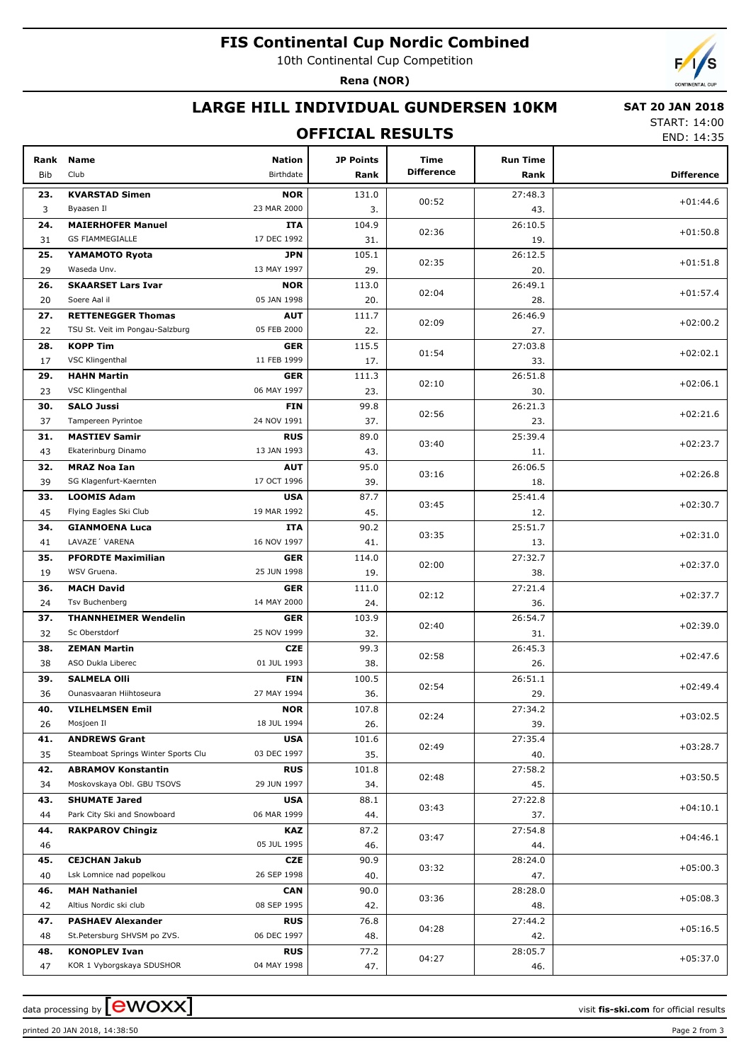# **FIS Continental Cup Nordic Combined**

10th Continental Cup Competition

**Rena (NOR)**



#### **LARGE HILL INDIVIDUAL GUNDERSEN 10KM**

#### **OFFICIAL RESULTS**

 **SAT 20 JAN 2018** START: 14:00

END: 14:35

| Rank<br>Bib | <b>Name</b><br>Club                 | <b>Nation</b><br>Birthdate | <b>JP Points</b><br>Rank | Time<br><b>Difference</b> | <b>Run Time</b><br>Rank | <b>Difference</b> |
|-------------|-------------------------------------|----------------------------|--------------------------|---------------------------|-------------------------|-------------------|
| 23.         | <b>KVARSTAD Simen</b>               | <b>NOR</b>                 | 131.0                    |                           | 27:48.3                 |                   |
| 3           | Byaasen Il                          | 23 MAR 2000                | 3.                       | 00:52                     | 43.                     | $+01:44.6$        |
| 24.         | <b>MAIERHOFER Manuel</b>            | ITA                        | 104.9                    |                           | 26:10.5                 |                   |
| 31          | <b>GS FIAMMEGIALLE</b>              | 17 DEC 1992                | 31.                      | 02:36                     | 19.                     | $+01:50.8$        |
| 25.         | YAMAMOTO Ryota                      | <b>JPN</b>                 | 105.1                    |                           | 26:12.5                 |                   |
| 29          | Waseda Unv.                         | 13 MAY 1997                | 29.                      | 02:35                     | 20.                     | $+01:51.8$        |
| 26.         | <b>SKAARSET Lars Ivar</b>           | <b>NOR</b>                 | 113.0                    | 02:04                     | 26:49.1                 | $+01:57.4$        |
| 20          | Soere Aal il                        | 05 JAN 1998                | 20.                      |                           | 28.                     |                   |
| 27.         | <b>RETTENEGGER Thomas</b>           | <b>AUT</b>                 | 111.7                    | 02:09                     | 26:46.9                 | $+02:00.2$        |
| 22          | TSU St. Veit im Pongau-Salzburg     | 05 FEB 2000                | 22.                      |                           | 27.                     |                   |
| 28.         | <b>KOPP Tim</b>                     | <b>GER</b>                 | 115.5                    | 01:54                     | 27:03.8                 | $+02:02.1$        |
| 17          | VSC Klingenthal                     | 11 FEB 1999                | 17.                      |                           | 33.                     |                   |
| 29.         | <b>HAHN Martin</b>                  | <b>GER</b>                 | 111.3                    | 02:10                     | 26:51.8                 | $+02:06.1$        |
| 23          | VSC Klingenthal                     | 06 MAY 1997                | 23.                      |                           | 30.                     |                   |
| 30.         | <b>SALO Jussi</b>                   | <b>FIN</b>                 | 99.8                     | 02:56                     | 26:21.3                 | $+02:21.6$        |
| 37          | Tampereen Pyrintoe                  | 24 NOV 1991                | 37.                      |                           | 23.                     |                   |
| 31.         | <b>MASTIEV Samir</b>                | <b>RUS</b>                 | 89.0                     | 03:40                     | 25:39.4                 | $+02:23.7$        |
| 43          | Ekaterinburg Dinamo                 | 13 JAN 1993                | 43.                      |                           | 11.                     |                   |
| 32.         | <b>MRAZ Noa Ian</b>                 | <b>AUT</b>                 | 95.0                     | 03:16                     | 26:06.5                 | $+02:26.8$        |
| 39          | SG Klagenfurt-Kaernten              | 17 OCT 1996                | 39.                      |                           | 18.                     |                   |
| 33.         | <b>LOOMIS Adam</b>                  | <b>USA</b>                 | 87.7                     | 03:45                     | 25:41.4                 | $+02:30.7$        |
| 45          | Flying Eagles Ski Club              | 19 MAR 1992                | 45.                      |                           | 12.                     |                   |
| 34.         | <b>GIANMOENA Luca</b>               | ITA                        | 90.2                     | 03:35                     | 25:51.7                 | $+02:31.0$        |
| 41          | LAVAZE 'VARENA                      | 16 NOV 1997                | 41.                      |                           | 13.                     |                   |
| 35.         | <b>PFORDTE Maximilian</b>           | <b>GER</b>                 | 114.0                    | 02:00                     | 27:32.7                 | $+02:37.0$        |
| 19          | WSV Gruena.                         | 25 JUN 1998                | 19.                      |                           | 38.                     |                   |
| 36.         | <b>MACH David</b>                   | <b>GER</b>                 | 111.0                    | 02:12                     | 27:21.4                 | $+02:37.7$        |
| 24          | <b>Tsv Buchenberg</b>               | 14 MAY 2000                | 24.                      |                           | 36.                     |                   |
| 37.         | <b>THANNHEIMER Wendelin</b>         | <b>GER</b>                 | 103.9                    | 02:40                     | 26:54.7                 | $+02:39.0$        |
| 32          | Sc Oberstdorf                       | 25 NOV 1999                | 32.                      |                           | 31.                     |                   |
| 38.         | <b>ZEMAN Martin</b>                 | <b>CZE</b>                 | 99.3                     | 02:58                     | 26:45.3                 | $+02:47.6$        |
| 38          | ASO Dukla Liberec                   | 01 JUL 1993                | 38.                      |                           | 26.                     |                   |
| 39.         | <b>SALMELA Olli</b>                 | <b>FIN</b>                 | 100.5                    | 02:54                     | 26:51.1                 |                   |
| 36          | Ounasvaaran Hiihtoseura             | 27 MAY 1994                | 36.                      |                           | 29.                     | $+02:49.4$        |
| 40.         | <b>VILHELMSEN Emil</b>              | <b>NOR</b>                 | 107.8                    | 02:24                     | 27:34.2                 | $+03:02.5$        |
| 26          | Mosjoen Il                          | 18 JUL 1994                | 26.                      |                           | 39.                     |                   |
| 41.         | <b>ANDREWS Grant</b>                | <b>USA</b>                 | 101.6                    | 02:49                     | 27:35.4                 | $+03:28.7$        |
| 35          | Steamboat Springs Winter Sports Clu | 03 DEC 1997                | 35.                      |                           | 40.                     |                   |
| 42.         | <b>ABRAMOV Konstantin</b>           | <b>RUS</b>                 | 101.8                    | 02:48                     | 27:58.2                 | $+03:50.5$        |
| 34          | Moskovskaya Obl. GBU TSOVS          | 29 JUN 1997                | 34.                      |                           | 45.                     |                   |
| 43.         | <b>SHUMATE Jared</b>                | <b>USA</b>                 | 88.1                     |                           | 27:22.8<br>03:43        | $+04:10.1$        |
| 44          | Park City Ski and Snowboard         | 06 MAR 1999                | 44.                      |                           | 37.                     |                   |
| 44.         | <b>RAKPAROV Chingiz</b>             | KAZ                        | 87.2                     | 03:47                     | 27:54.8                 | $+04:46.1$        |
| 46          |                                     | 05 JUL 1995                | 46.                      |                           | 44.                     |                   |
| 45.         | <b>CEJCHAN Jakub</b>                | CZE                        | 90.9                     | 03:32                     | 28:24.0                 | $+05:00.3$        |
| 40          | Lsk Lomnice nad popelkou            | 26 SEP 1998                | 40.                      |                           | 47.                     |                   |
| 46.         | <b>MAH Nathaniel</b>                | <b>CAN</b>                 | 90.0                     | 03:36                     | 28:28.0                 | $+05:08.3$        |
| 42          | Altius Nordic ski club              | 08 SEP 1995                | 42.                      |                           | 48.                     |                   |
| 47.         | <b>PASHAEV Alexander</b>            | <b>RUS</b>                 | 76.8                     | 04:28                     | 27:44.2                 | $+05:16.5$        |
| 48          | St.Petersburg SHVSM po ZVS.         | 06 DEC 1997                | 48.                      |                           | 42.                     |                   |
| 48.         | <b>KONOPLEV Ivan</b>                | <b>RUS</b>                 | 77.2                     | 04:27                     | 28:05.7                 | $+05:37.0$        |
| 47          | KOR 1 Vyborgskaya SDUSHOR           | 04 MAY 1998                | 47.                      |                           | 46.                     |                   |

data processing by **CWOXX** and  $\overline{A}$  wisit **fis-ski.com** for official results